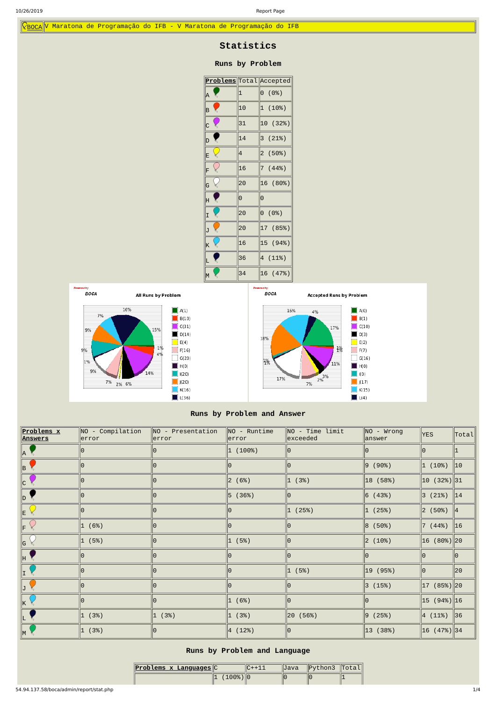$\sqrt{\text{Pboca}}$ </u> V Maratona de Programação do IFB - V Maratona de Programação do IFB

# **Statistics**

### **Runs by Problem**

|                                  |                     | <b>Problems</b> Total Accepted |  |  |  |  |  |  |
|----------------------------------|---------------------|--------------------------------|--|--|--|--|--|--|
| A<br>ξ                           | 1                   | $\Theta$<br>(0%)               |  |  |  |  |  |  |
| $\zeta$<br>B                     | 10                  | 1 (10%)                        |  |  |  |  |  |  |
| $\mathsf{C}$<br>K                | 31                  | 10 (32%)                       |  |  |  |  |  |  |
| D                                | 14                  | 3<br>(21%)                     |  |  |  |  |  |  |
| E                                | 4                   | $\overline{c}$<br>(50%)        |  |  |  |  |  |  |
| F                                | 16                  | (44%)<br>$\overline{7}$        |  |  |  |  |  |  |
| G                                | 20                  | 16 (80%)                       |  |  |  |  |  |  |
| H                                | $\overline{\Theta}$ | 0                              |  |  |  |  |  |  |
| I                                | 20                  | $\Theta$<br>(0%)               |  |  |  |  |  |  |
| J                                | 20                  | 17 (85%)                       |  |  |  |  |  |  |
| K<br>$\mathcal{E}_{\mathcal{S}}$ | 16                  | 15 (94%)                       |  |  |  |  |  |  |
| L                                | 36                  | 4 (11%)                        |  |  |  |  |  |  |
| M                                | 34                  | 16 (47%)                       |  |  |  |  |  |  |



## **Runs by Problem and Answer**

| <b>Problems x</b><br><u> Answers</u> | $\parallel$ NO - Compilation<br> error | $NO - Presentation$<br>error | $NO$ - Runtime<br>error | NO - Time limit<br>exceeded | $NO - Wrong$<br>$\parallel$ answer | <b>YES</b>                                      | $ \text{\tt Total} $ |
|--------------------------------------|----------------------------------------|------------------------------|-------------------------|-----------------------------|------------------------------------|-------------------------------------------------|----------------------|
| $\parallel$ A $\parallel$            | 10                                     |                              | 1 (100%)                |                             |                                    | Θ.                                              | 11                   |
| $\parallel$ B                        | $\Theta$                               | 0                            | 10                      | 10                          | $ 9 (90\%)$                        | 1(10%)                                          | $\parallel$ 10       |
| c                                    | 10                                     |                              | 2(6%)                   | 1(3%)                       | $ 18 \; (58%)$                     | $\ 10\ $ (32%) 31                               |                      |
| $\ D\ $                              | 10                                     | lΘ                           | 5 (36%)                 | 10                          | $ 6 \; (43%)$                      | $3(21%)$ 14                                     |                      |
| E                                    | $\Theta$                               |                              | 10                      | (25%)<br>$ 1\rangle$        | 1(25%)                             | $\ 2 \t(50\%) \ 4$                              |                      |
| lF.                                  | 1 (6%)                                 | $\Theta$                     | ΙΘ                      | 0                           | $ 8 \; (50\%)$                     | $\begin{vmatrix} 7 & (44\%) & 16 \end{vmatrix}$ |                      |
| G                                    | 1(5%)                                  | Θ                            | 1 (5%)                  | 0                           | $ 2(10\%)$                         | $16(80%)$   20                                  |                      |
| ∥H                                   | 10                                     | 0                            | 10                      | 0                           |                                    | 0                                               | ∥Θ                   |
| $\ {\bf I}\ $                        | 10                                     |                              | 10                      | 1 (5%)                      | $\ 19\  (95%)$                     | Θ                                               | ∥20                  |
|                                      | 10                                     | 10                           | 10                      | 0                           | 3(15%)                             | $17(85%)$  20                                   |                      |
|                                      | 10                                     |                              | 1 (6%)                  | 10                          |                                    | $\ 15 \ (94\%) \ 16$                            |                      |
|                                      | 1(3%)                                  | 1(3%)                        | 1(3%)                   | 20 (56%)                    | 9 (25%)                            | $ 4 \; (11%) \;  36 \;  $                       |                      |
| $\mathsf{M}$                         | (3%)<br>$ 1\rangle$                    | 10                           | 4(12%)                  | 10                          | $ 13 \; (38%)$                     | $\ 16\ $ (47%) 34                               |                      |

## **Runs by Problem and Language**

| Problems x Languages C |              | IIJava | $\ $ Python3 $\ $ Total |  |  |
|------------------------|--------------|--------|-------------------------|--|--|
|                        | ′ 1 ନନ% ) ∥ନ | IΟ     | н٠                      |  |  |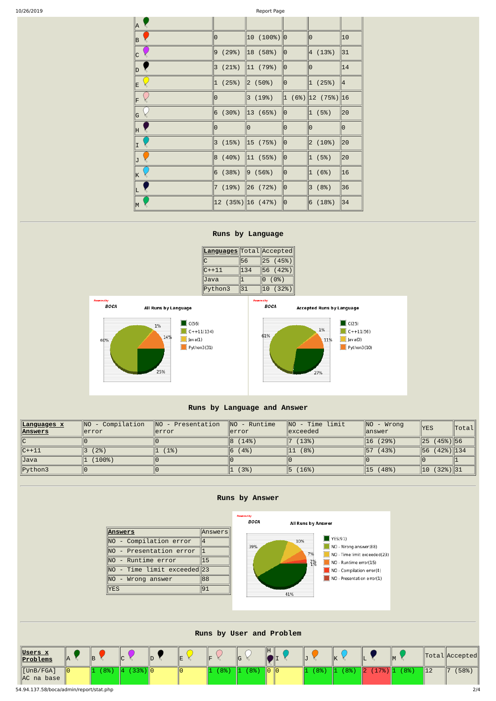54.94.137.58/boca/admin/report/stat.php 2/4

| 10/26/2019 |          |                                                             | Report Page             |              |                                      |               |
|------------|----------|-------------------------------------------------------------|-------------------------|--------------|--------------------------------------|---------------|
|            | A        |                                                             |                         |              |                                      |               |
|            | B        | 10                                                          | $\ 10\ $ (100%) $\ 0\ $ |              | ∥0                                   | $ 10\rangle$  |
|            | c        | (29%)<br>9                                                  | $\ 18\  (58%)$          | $\ 0\ $      | 4(13%)                               | 31            |
|            | D        | (21%)<br>3                                                  | $\ 11\  (79%)$          | ∥Θ           | 0                                    | 14            |
|            | E        | (25%)<br> 1                                                 | $\ 2\ $ (50%)           | ∥Θ           | 1(25%)                               | $\parallel$ 4 |
|            | F        | 10                                                          | 3(19%)                  |              | $\ 1\ $ (6%) $\ 12\ $ (75%) $\ 16\ $ |               |
|            | G        | (30%)<br>6                                                  | $\ 13\  (65%)$          | ∥0           | 1 (5%)                               | ∥20           |
|            | H        | 10                                                          | 10                      | Θ            | Θ                                    | $\Theta$      |
|            | I        | 3(15%)                                                      | $\ 15$ (75%)            | ∥Θ           | $ 2(10\%)$                           | ∥20           |
|            | J        | (40%)<br>8                                                  | $\ 11 \t(55%)$          | ∥Θ           | 1 (5%)                               | ∥20           |
|            | ΙK       | (38%)<br>6                                                  | $\ 9\  (56\%)$          | ∥0           | (6%)<br>$ 1\rangle$                  | $\ $ 16       |
|            |          | (19%)                                                       | $\ 26 \t(72%)$          | ∥Θ           | (8%)<br> 3                           | 36            |
|            | $M \leq$ | $\left 12\right\rangle$ (35%) $\left 16\right\rangle$ (47%) |                         | $\ \Theta\ $ | 6(18%)                               | 34            |
|            |          |                                                             |                         |              |                                      |               |

#### **Runs by Language**

| Languages Total Accepted |     |                  |  |  |  |  |
|--------------------------|-----|------------------|--|--|--|--|
|                          | 56  | 25 (45%)         |  |  |  |  |
| $C++11$                  | 134 | 56 (42%)         |  |  |  |  |
| Java                     |     | $\Theta$<br>(0%) |  |  |  |  |
| Python3                  | 31  | 10<br>(32%)      |  |  |  |  |



### **Runs by Language and Answer**

| <u>  Languages x</u><br><b>Answers</b> | - Compilation<br>INO.<br>llerror | $\parallel$ NO - Presentation<br>llerror | $\parallel$ NO - Runtime<br>llerror | $\overline{\mathsf{N}}$<br>- Time limit<br>$\parallel$ exceeded | NO  <br>- Wrong<br>llanswer | <b>YES</b>                     | Total |
|----------------------------------------|----------------------------------|------------------------------------------|-------------------------------------|-----------------------------------------------------------------|-----------------------------|--------------------------------|-------|
| ∥c                                     |                                  |                                          | (14%)                               | (13%)                                                           | (29%)<br> 16                | $\parallel$ 25<br>$(45%)$   56 |       |
| $\ C++11\ $                            | (2%)                             | (1%)                                     | (4%)                                | (8%)<br>$\parallel$ 11                                          | (43%)<br> 57                | $(42%)$   134<br>156           |       |
| Java                                   | (100%)                           |                                          |                                     |                                                                 |                             |                                |       |
| $\Vert$ Python3                        |                                  |                                          | (3%)                                | 15<br>(16%)                                                     | (48%)<br> 15                | $(32%)$   31<br>$\parallel$ 10 |       |

**Runs by Answer**

Pot

edby **BOCA** 

All Runs by Answer





#### NO - Wrong answer(88)  $\blacksquare$  NO - Time limit exceeded(23)  $\Box$  NO - Runtime error(15)  $\blacksquare$  NO - Compilation error(4)  $\blacksquare$  NO - Presentation error(1)

#### **Runs by User and Problem**

| Users x<br>$\ $ Problems            | lΙA | lB. | $\sqrt{ }$<br>∣∪                           | —<br>╶ |    | $\mathsf{L}$<br>ΙG | H.                        |    | ΙK        |                                 |                      |                | $\  \text{Total} \ $ Accepted |
|-------------------------------------|-----|-----|--------------------------------------------|--------|----|--------------------|---------------------------|----|-----------|---------------------------------|----------------------|----------------|-------------------------------|
| [UnB/FGA]<br>$\parallel$ AC na base | ∥0  | 8%  | $\parallel$ 33%) $\parallel$ 0 $\parallel$ |        | 8% | $8\%$              | $\parallel 0 \parallel 0$ | 8% | 8%<br>LL. | $\mathbf{Z}\%$<br>$\sim$<br>IZ. | $^{\prime}8\%$<br>⊪⊥ | $\parallel$ 12 | (58%)                         |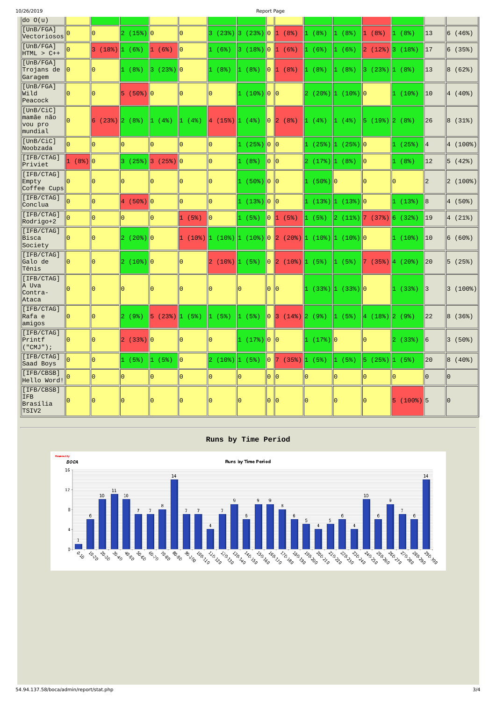| 10/26/2019                                         |          |                    |                                     |                    |            |                        |             | Report Page      |                         |                                         |                            |                   |                 |                |                       |
|----------------------------------------------------|----------|--------------------|-------------------------------------|--------------------|------------|------------------------|-------------|------------------|-------------------------|-----------------------------------------|----------------------------|-------------------|-----------------|----------------|-----------------------|
| $\begin{pmatrix} d & b \\ c & d \end{pmatrix}$     |          |                    |                                     |                    |            |                        |             |                  |                         |                                         |                            |                   |                 |                |                       |
| [UnB/FGA]<br>$ \textsf{Vectorios} \$               |          | 10.                | $ 2 \left( 15\% \right)  0 \right $ |                    | $\Theta$   | $ 3 \; (23\%) 3 \;$    |             |                  | $(23\%)$ 0 1 (8%)       | $ 1 (8\%)$                              | (8%)<br>$ 1\rangle$        | 1 (8%)            | (8%)<br>II 1    | $ 13\rangle$   | $ 6 \ (46\%)$         |
| [UnB/FGA]<br>$HTML > C++$                          |          | $ 3 \; (18\%)$     | $\ 1\  (6\%)$                       | 1 (6%)             | 10         | 1 (6%)                 | lЗ.         | $(18%)$ 0        | $\ 1\  (6\%)$           | 1 (6%)                                  | (6%)<br>11.                | $ 2(12\%)$        | $\ 3\  (18\%)$  | 17             | $ 6 \; (35%)$         |
| [UnB/FGA]<br>Trojans de<br>Garagem                 | 10       | 10                 | (8%)                                | $(23%)$  0<br>∥3∶  |            | 1 (8%)                 | (8%)<br>11. | ∥0⊹              | (8%)<br>$\vert 1 \vert$ | (8%)                                    | (8%)<br>1                  | $(23%)$  1<br>3.  | (8%)            | 13             | 8<br>(62%)            |
| [UnB/FGA]<br>Wild<br>Peacock                       |          |                    | $ 5(50\%) 0$                        |                    | 0          | Θ.                     | 11.         | $(10\%)$ 0 0     |                         | $\left 2\right $ (20%) $\left 1\right $ | $(10%)$   0                |                   | (10%)<br>ll 1   | $ 10\rangle$   | $ 4(40\%)$            |
| [UnB/CiC]<br>mamãe não<br>vou pro<br>mundial       |          | $(23%)$   2<br>16. | (8%)                                | (4%)<br>I1.        | (4%)<br>1. | $\ 4\  (15\%) \ 1\ $   | (4%)        | ∥Θ-              | (8%)<br>$ 2\rangle$     | (4%)<br>И.                              | (4%)<br>11.                | $(19%)$  2<br>15. | (8%)            | 26             | 8 <br>(31%)           |
| [UnB/CiC]<br>Noobzada                              | lΘ       | ΙΘ                 | 10                                  | IΘ                 | 0          | 10                     |             | $(25%)$ 0 0      |                         | 1 (25%) 1                               | $(25%)$   0                |                   | $\ 1\ $ (25%)   | $\parallel$ 4  | $ 4\rangle$<br>(100%) |
| [IFB/CTAG]<br>Priviet                              | 1 (8%) 0 |                    |                                     | $3(25%)$ 3 (25%) 0 |            | 10                     | (8%)<br>11. | ∥0 ∥0            |                         | $ 2(17\%) 1$                            | (8%)                       | $\ 0\ $           | $\ 1\  (8\%)$   | $ 12\rangle$   | 5(42%)                |
| [IFB/CTAG]<br>Empty<br>Coffee Cups                 | ΙΘ       |                    | Θ                                   |                    | Θ          | ΙΘ                     |             | $(50\%)$   0   0 |                         | $ 1 (50\%) 0$                           |                            | lΘ                |                 | 2              | $ 2\rangle$<br>(100%) |
| [IFB/CTAG]<br> Conclua                             | l۵       | 10                 | $ 4 (50\%) 0$                       |                    | $\Theta$   | 10                     | 1           | $ (13\%) 0  0$   |                         | $(13%)$  1<br>11.                       | $(13%)$  0                 |                   | 1(13%)          | 8              | $ 4 \; (50\%)$        |
| [IFB/CTAG]<br>Rodrigo+2                            |          | 10                 | Θ                                   | 10                 | 1 (5%)     | 10                     | (5%)        |                  | $\ 0\ 1\  (5\%)$        | (5%)<br>Ш.                              | $(11\%)$  7<br>$ 2\rangle$ | (37%)             | 6(32%)          | $\parallel$ 19 | $ 4(21\%)$            |
| [IFB/CTAG]<br>Bisca<br>Society                     | IO       |                    | $ 2 \ (20\%) 0 \$                   |                    | 1.         | $(10\%)$ $ 1 (10\%) 1$ |             |                  | $(10\%)$ 0 2 (20%)      | $\ 1\  (10\%) \ 1\ $                    | $(10%)$  0                 |                   | (10%)<br>ll 1   | $ 10\rangle$   | 6(60%)                |
| [IFB/CTAG]<br>Galo de<br>Tênis                     | ΙΘ       |                    | $(10%)$ 0<br>2.                     |                    |            | (10%)<br>2             | (5%)<br>11. | 10.              | $ 2(10\%)$              | (5%)<br>11.                             | (5%)<br>11.                | (35%)             | (20%)<br>  4    | $ 20\rangle$   | (25%)<br>5            |
| [IFB/CTAG]<br>A Uva<br>Contra-<br>Ataca            | IΘ       | 10                 | 10                                  | 10                 | $\Theta$   | 10                     | 10          |                  | $ 0 $ $ 0 $             |                                         | $\ 1(33\%) \ 1(33\%) \ 0$  |                   | $\ 1\ $ (33%)   | $\parallel$ 3  | 3<br>(100%)           |
| [IFB/CTAG]<br>Rafa e<br>amigos                     | 10       | l0                 | $ 2 \; (9\%)$                       | 5 (23%) 1          | (5%)       | 1 (5%)                 | (5%)<br>11. | ∥Θ               | 3(14%)                  | $\ 2\ (9\%)\ $                          | (5%)<br><u> 1</u>          | $\ 4(18\%) 2\ $   | (9%)            | 22             | 8<br>(36%)            |
| [IFB/CTAG]<br>Printf<br>("CMJ");                   | 10       | 10                 |                                     |                    | $\Theta$   | 10                     | 11.         | $(17%)$   0   0  |                         | $ 1(17\%) 0$                            |                            | 10                | $\ 2\ $ (33%)   | $\ 6$          | 3<br>(50%)            |
| [IFB/CTAG]<br>Saad Boys                            |          | 10                 | 1(5%)                               | 1(5%)              | ∥Θ         | $ 2 \t(10\%) 1$        | (5%)        |                  | $\ 0\ 7\ (35\%)$        | $ 1(5\%)$                               | 1(5%)                      | $ 5 (25\%) 1$     | (5%)            | $ 20\rangle$   | $ 8 \; (40%)$         |
| [IFB/CBSB]<br>Hello Word!                          |          | 10                 | 10                                  | 10                 | $\Theta$   | lΘ                     | Θ.          |                  |                         | 0                                       | 10                         | 0                 | 10              | 0              | 0                     |
| [IFB/CBSB]<br>IFB<br>Brasília<br>TSIV <sub>2</sub> |          |                    | 10                                  | 10                 | $\Theta$   | 10                     | 0           | 0                | $ 0\rangle$             | 10                                      | Θ                          | 0                 | $(100%)$ 5<br>5 |                | Θ                     |

## **Runs by Time Period**